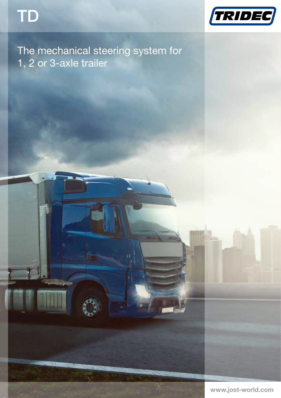



# The mechanical steering system for 1, 2 or 3-axle trailer

www.jost-world.com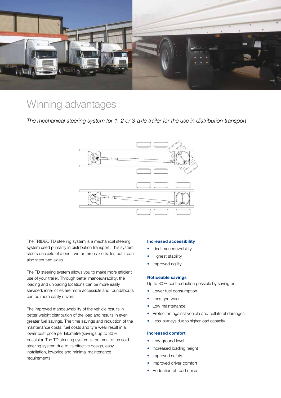

### Winning advantages

*The mechanical steering system for 1, 2 or 3-axle trailer for the use in distribution transport*



The TRIDEC TD steering system is a mechanical steering system used primarily in distribution transport. This system steers one axle of a one, two or three-axle trailer, but it can also steer two axles.

The TD steering system allows you to make more efficient use of your trailer. Through better manoeuvrability, the loading and unloading locations can be more easily serviced, inner cities are more accessible and roundabouts can be more easily driven.

The improved manoeuvrability of the vehicle results in better weight distribution of the load and results in even greater fuel savings. The time savings and reduction of the maintenance costs, fuel costs and tyre wear result in a lower cost price per kilometre (savings up to 30% possible). The TD steering system is the most often sold steering system due to its effective design, easy installation, lowprice and minimal maintenance requirements.

#### Increased accessibility

- Ideal manoeuvrability
- Highest stability
- Improved agility

#### Noticeable savings

Up to 30% cost reduction possible by saving on:

- Lower fuel consumption
- Less tyre wear
- Low maintenance
- Protection against vehicle and collateral damages
- Less journeys due to higher load capacity

#### Increased comfort

- Low ground level
- Increased loading height
- Improved safety
- Improved driver comfort
- **Reduction of road noise**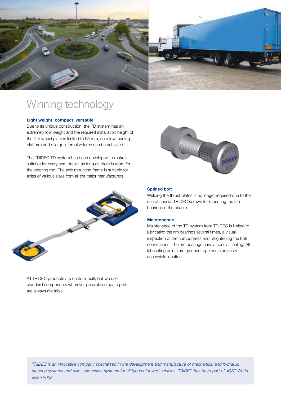

## Winning technology

#### Light weight, compact, versatile

Due to its unique construction, the TD system has an extremely low weight and the required installation height of the fifth wheel plate is limited to 95 mm, so a low loading platform and a large internal volume can be achieved.

The TRIDEC TD system has been developed to make it suitable for every semi-trailer, as long as there is room for the steering rod. The axle mounting frame is suitable for axles of various sizes from all the major manufacturers.



#### Splined bolt

Welding the thrust plates is no longer required due to the use of special TRIDEC screws for mounting the rim bearing on the chassis.

#### **Maintenance**

Maintenance of the TD system from TRIDEC is limited to lubricating the rim bearings several times, a visual inspection of the components and retightening the bolt connections. The rim bearings have a special sealing. All lubricating points are grouped together in an easily accessible location.

All TRIDEC products are custom-built, but we use standard components wherever possible so spare parts are always available.

*TRIDEC is an innovative company specialised in the development and manufacture of mechanical and hydraulic steering systems and axle suspension systems for all types of towed vehicles. TRIDEC has been part of JOST-World since 2008.*